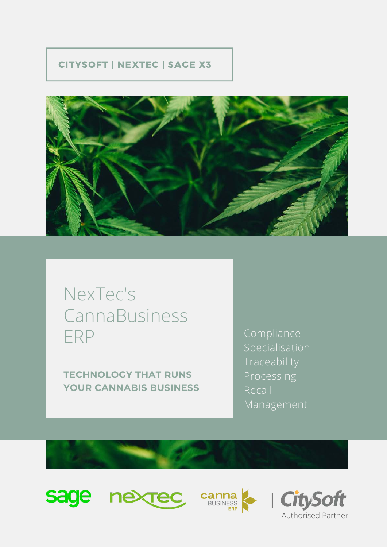### CITYSOFT | NEXTEC | SAGE X3



### NexTec's CannaBusiness ERP

**TECHNOLOGY THAT RUNS YOUR CANNABIS BUSINESS** Compliance Specialisation Traceability Processing Recall Management







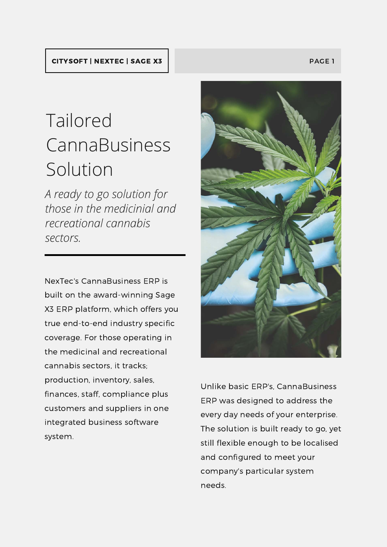### CITYSOFT | NEXTEC | SAGE X3 PAGE 1 PAGE 1

## Tailored CannaBusiness Solution

*A ready to go solution for those in the medicinial and recreational cannabis sectors.*

NexTec's CannaBusiness ERP is built on the award-winning Sage X3 ERP platform, which offers you true end-to-end industry specific coverage. For those operating in the medicinal and recreational cannabis sectors, it tracks; production, inventory, sales, finances, staff, compliance plus customers and suppliers in one integrated business software system.



Unlike basic ERP's, CannaBusiness ERP was designed to address the every day needs of your enterprise. The solution is built ready to go, yet still flexible enough to be localised and configured to meet your company's particular system needs.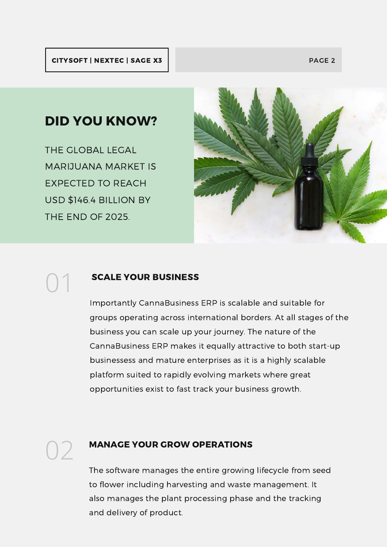### DID YOU KNOW?

THE GLOBAL LEGAL MARIJUANA MARKET IS EXPECTED TO REACH USD \$146.4 BILLION BY THE END OF 2025.

01



### SCALE YOUR BUSINESS

Importantly CannaBusiness ERP is scalable and suitable for groups operating across international borders. At all stages of the business you can scale up your journey. The nature of the CannaBusiness ERP makes it equally attractive to both start-up businessess and mature enterprises as it is a highly scalable platform suited to rapidly evolving markets where great opportunities exist to fast track your business growth.

### **MANAGE YOUR GROW OPERATIONS**

The software manages the entire growing lifecycle from seed to flower including harvesting and waste management. It also manages the plant processing phase and the tracking and delivery of product.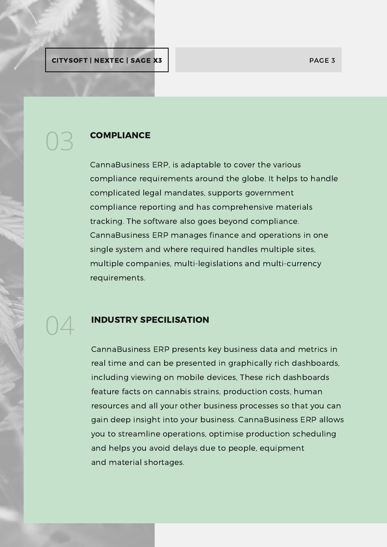### **COMPLIANCE**

CannaBusiness ERP, is adaptable to cover the various compliance requirements around the globe. It helps to handle complicated legal mandates, supports government compliance reporting and has comprehensive materials tracking. The software also goes beyond compliance. CannaBusiness ERP manages finance and operations in one single system and where required handles multiple sites, multiple companies, multi-legislations and multi-currency requirements.

# 04

03

### INDUSTRY SPECILISATION

CannaBusiness ERP presents key business data and metrics in real time and can be presented in graphically rich dashboards, including viewing on mobile devices, These rich dashboards feature facts on cannabis strains, production costs, human resources and all your other business processes so that you can gain deep insight into your business. CannaBusiness ERP allows you to streamline operations, optimise production scheduling and helps you avoid delays due to people, equipment and material shortages.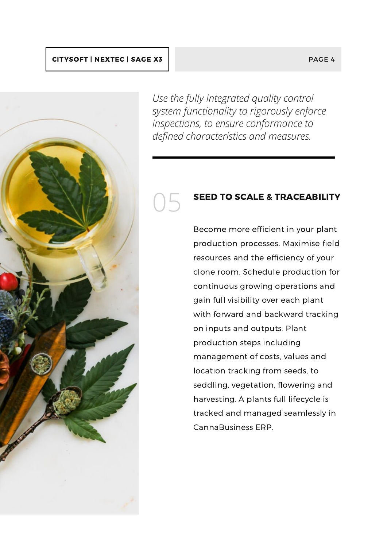#### CITYSOFT | NEXTEC | SAGE X3 PAGE 4



*Use the fully integrated quality control system functionality to rigorously enforce inspections, to ensure conformance to defined characteristics and measures.*

05

### SEED TO SCALE & TRACEABILITY

Become more efficient in your plant production processes. Maximise field resources and the efficiency of your clone room. Schedule production for continuous growing operations and gain full visibility over each plant with forward and backward tracking on inputs and outputs. Plant production steps including management of costs, values and location tracking from seeds, to seddling, vegetation, flowering and harvesting. A plants full lifecycle is tracked and managed seamlessly in CannaBusiness ERP.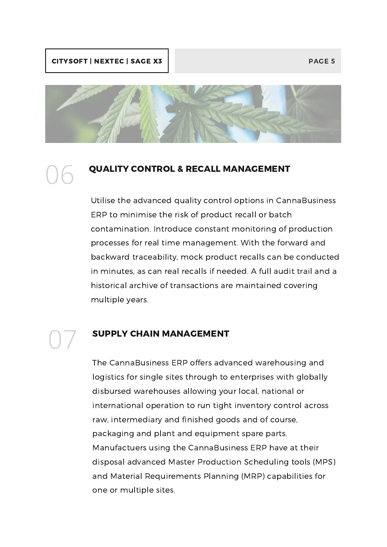### CITYSOFT | NEXTEC | SAGE X3 PAGE 5 PAGE 5

06

07



### QUALITY CONTROL & RECALL MANAGEMENT

Utilise the advanced quality control options in CannaBusiness ERP to minimise the risk of product recall or batch contamination. Introduce constant monitoring of production processes for real time management. With the forward and backward traceability, mock product recalls can be conducted in minutes, as can real recalls if needed. A full audit trail and a historical archive of transactions are maintained covering multiple years.

### SUPPLY CHAIN MANAGEMENT

The CannaBusiness ERP offers advanced warehousing and logistics for single sites through to enterprises with globally disbursed warehouses allowing your local, national or international operation to run tight inventory control across raw, intermediary and finished goods and of course, packaging and plant and equipment spare parts. Manufactuers using the CannaBusiness ERP have at their disposal advanced Master Production Scheduling tools (MPS) and Material Requirements Planning (MRP) capabilities for one or multiple sites.